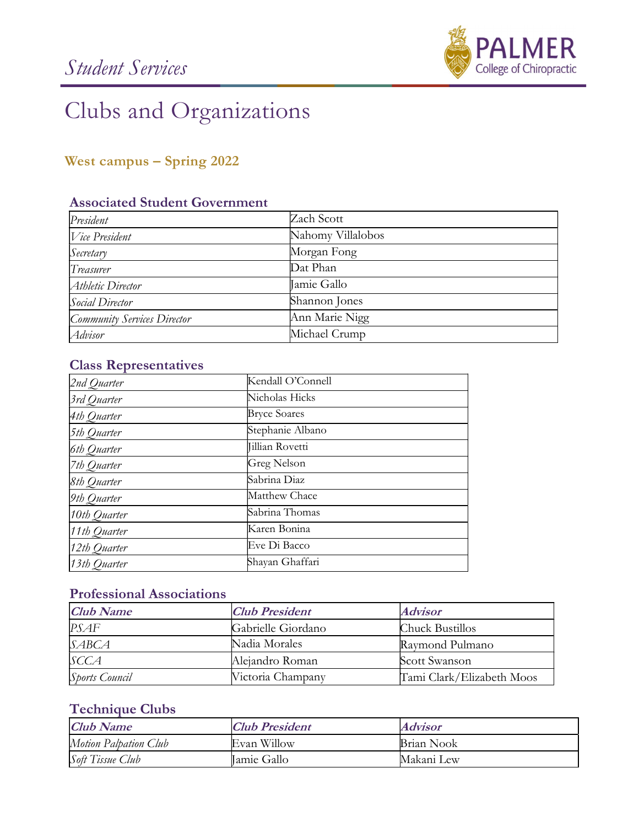

# Clubs and Organizations

# West campus – Spring 2022

# Associated Student Government

| President                   | Zach Scott        |
|-----------------------------|-------------------|
| $V$ ice President           | Nahomy Villalobos |
| Secretary                   | Morgan Fong       |
| Treasurer                   | Dat Phan          |
| Athletic Director           | Tamie Gallo       |
| Social Director             | Shannon Jones     |
| Community Services Director | Ann Marie Nigg    |
| Advisor                     | Michael Crump     |

# Class Representatives

| 2nd Quarter  | Kendall O'Connell   |
|--------------|---------------------|
| 3rd Quarter  | Nicholas Hicks      |
| 4th Quarter  | <b>Bryce Soares</b> |
| 5th Quarter  | Stephanie Albano    |
| 6th Quarter  | Jillian Rovetti     |
| 7th Quarter  | Greg Nelson         |
| 8th Quarter  | Sabrina Diaz        |
| 9th Quarter  | Matthew Chace       |
| 10th Quarter | Sabrina Thomas      |
| 11th Quarter | Karen Bonina        |
| 12th Quarter | Eve Di Bacco        |
| 13th Quarter | Shayan Ghaffari     |

# Professional Associations

| <b>Club Name</b>      | <b>Club President</b> | <i><b>Advisor</b></i>     |
|-----------------------|-----------------------|---------------------------|
| PSAF                  | Gabrielle Giordano    | Chuck Bustillos           |
| SABCA                 | Nadia Morales         | Raymond Pulmano           |
| SCCA                  | Alejandro Roman       | Scott Swanson             |
| <b>Sports Council</b> | Victoria Champany     | Tami Clark/Elizabeth Moos |

#### Technique Clubs

| <b>Club Name</b>      | <b>Club President</b> | Advisor    |
|-----------------------|-----------------------|------------|
| Motion Palpation Club | Evan Willow           | Brian Nook |
| Soft Tissue Club      | Tamie Gallo           | Makani Lew |